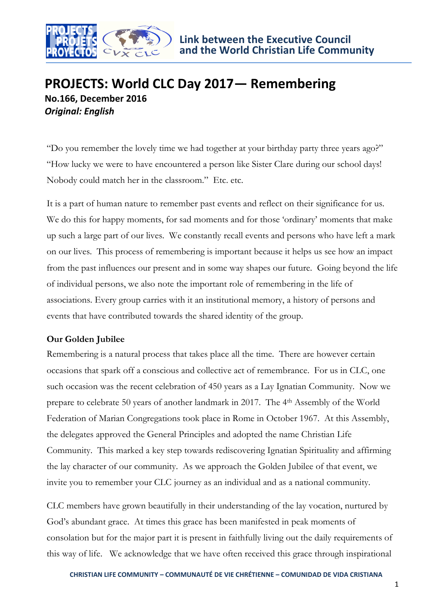

# **PROJECTS: World CLC Day 2017— Remembering No.166, December 2016** *Original: English*

"Do you remember the lovely time we had together at your birthday party three years ago?" "How lucky we were to have encountered a person like Sister Clare during our school days! Nobody could match her in the classroom." Etc. etc.

It is a part of human nature to remember past events and reflect on their significance for us. We do this for happy moments, for sad moments and for those 'ordinary' moments that make up such a large part of our lives. We constantly recall events and persons who have left a mark on our lives. This process of remembering is important because it helps us see how an impact from the past influences our present and in some way shapes our future. Going beyond the life of individual persons, we also note the important role of remembering in the life of associations. Every group carries with it an institutional memory, a history of persons and events that have contributed towards the shared identity of the group.

## **Our Golden Jubilee**

Remembering is a natural process that takes place all the time. There are however certain occasions that spark off a conscious and collective act of remembrance. For us in CLC, one such occasion was the recent celebration of 450 years as a Lay Ignatian Community. Now we prepare to celebrate 50 years of another landmark in 2017. The 4th Assembly of the World Federation of Marian Congregations took place in Rome in October 1967. At this Assembly, the delegates approved the General Principles and adopted the name Christian Life Community. This marked a key step towards rediscovering Ignatian Spirituality and affirming the lay character of our community. As we approach the Golden Jubilee of that event, we invite you to remember your CLC journey as an individual and as a national community.

CLC members have grown beautifully in their understanding of the lay vocation, nurtured by God's abundant grace. At times this grace has been manifested in peak moments of consolation but for the major part it is present in faithfully living out the daily requirements of this way of life. We acknowledge that we have often received this grace through inspirational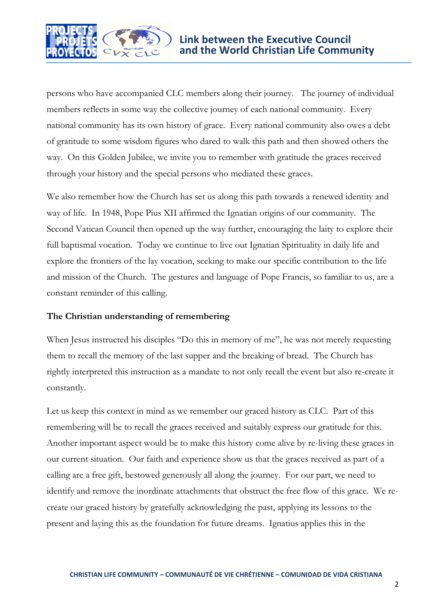

persons who have accompanied CLC members along their journey. The journey of individual members reflects in some way the collective journey of each national community. Every national community has its own history of grace. Every national community also owes a debt of gratitude to some wisdom figures who dared to walk this path and then showed others the way. On this Golden Jubilee, we invite you to remember with gratitude the graces received through your history and the special persons who mediated these graces.

We also remember how the Church has set us along this path towards a renewed identity and way of life. In 1948, Pope Pius XII affirmed the Ignatian origins of our community. The Second Vatican Council then opened up the way further, encouraging the laity to explore their full baptismal vocation. Today we continue to live out Ignatian Spirituality in daily life and explore the frontiers of the lay vocation, seeking to make our specific contribution to the life and mission of the Church. The gestures and language of Pope Francis, so familiar to us, are a constant reminder of this calling.

### **The Christian understanding of remembering**

When Jesus instructed his disciples "Do this in memory of me", he was not merely requesting them to recall the memory of the last supper and the breaking of bread. The Church has rightly interpreted this instruction as a mandate to not only recall the event but also re-create it constantly.

Let us keep this context in mind as we remember our graced history as CLC. Part of this remembering will be to recall the graces received and suitably express our gratitude for this. Another important aspect would be to make this history come alive by re-living these graces in our current situation. Our faith and experience show us that the graces received as part of a calling are a free gift, bestowed generously all along the journey. For our part, we need to identify and remove the inordinate attachments that obstruct the free flow of this grace. We recreate our graced history by gratefully acknowledging the past, applying its lessons to the present and laying this as the foundation for future dreams. Ignatius applies this in the